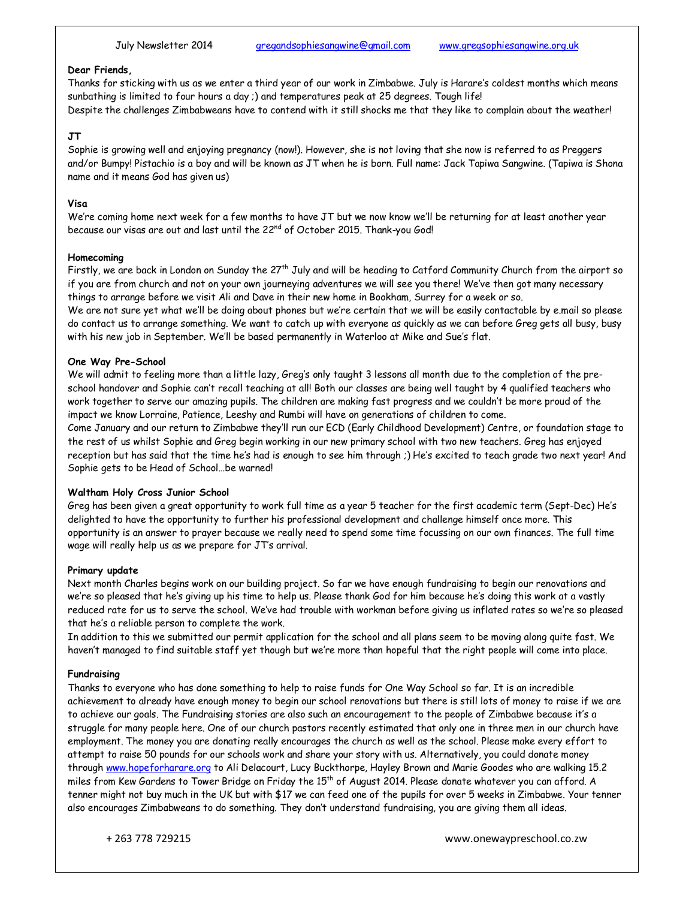# **Dear Friends,**

Thanks for sticking with us as we enter a third year of our work in Zimbabwe. July is Harare's coldest months which means sunbathing is limited to four hours a day ;) and temperatures peak at 25 degrees. Tough life! Despite the challenges Zimbabweans have to contend with it still shocks me that they like to complain about the weather!

## **JT**

Sophie is growing well and enjoying pregnancy (now!). However, she is not loving that she now is referred to as Preggers and/or Bumpy! Pistachio is a boy and will be known as JT when he is born. Full name: Jack Tapiwa Sangwine. (Tapiwa is Shona name and it means God has given us)

## **Visa**

We're coming home next week for a few months to have JT but we now know we'll be returning for at least another year because our visas are out and last until the 22<sup>nd</sup> of October 2015. Thank-you God!

### **Homecoming**

Firstly, we are back in London on Sunday the 27<sup>th</sup> July and will be heading to Catford Community Church from the airport so if you are from church and not on your own journeying adventures we will see you there! We've then got many necessary things to arrange before we visit Ali and Dave in their new home in Bookham, Surrey for a week or so.

We are not sure yet what we'll be doing about phones but we're certain that we will be easily contactable by e.mail so please do contact us to arrange something. We want to catch up with everyone as quickly as we can before Greg gets all busy, busy with his new job in September. We'll be based permanently in Waterloo at Mike and Sue's flat.

## **One Way Pre-School**

We will admit to feeling more than a little lazy, Greg's only taught 3 lessons all month due to the completion of the preschool handover and Sophie can't recall teaching at all! Both our classes are being well taught by 4 qualified teachers who work together to serve our amazing pupils. The children are making fast progress and we couldn't be more proud of the impact we know Lorraine, Patience, Leeshy and Rumbi will have on generations of children to come.

Come January and our return to Zimbabwe they'll run our ECD (Early Childhood Development) Centre, or foundation stage to the rest of us whilst Sophie and Greg begin working in our new primary school with two new teachers. Greg has enjoyed reception but has said that the time he's had is enough to see him through ;) He's excited to teach grade two next year! And Sophie gets to be Head of School…be warned!

## **Waltham Holy Cross Junior School**

Greg has been given a great opportunity to work full time as a year 5 teacher for the first academic term (Sept-Dec) He's delighted to have the opportunity to further his professional development and challenge himself once more. This opportunity is an answer to prayer because we really need to spend some time focussing on our own finances. The full time wage will really help us as we prepare for JT's arrival.

#### **Primary update**

Next month Charles begins work on our building project. So far we have enough fundraising to begin our renovations and we're so pleased that he's giving up his time to help us. Please thank God for him because he's doing this work at a vastly reduced rate for us to serve the school. We've had trouble with workman before giving us inflated rates so we're so pleased that he's a reliable person to complete the work.

In addition to this we submitted our permit application for the school and all plans seem to be moving along quite fast. We haven't managed to find suitable staff yet though but we're more than hopeful that the right people will come into place.

## **Fundraising**

Thanks to everyone who has done something to help to raise funds for One Way School so far. It is an incredible achievement to already have enough money to begin our school renovations but there is still lots of money to raise if we are to achieve our goals. The Fundraising stories are also such an encouragement to the people of Zimbabwe because it's a struggle for many people here. One of our church pastors recently estimated that only one in three men in our church have employment. The money you are donating really encourages the church as well as the school. Please make every effort to attempt to raise 50 pounds for our schools work and share your story with us. Alternatively, you could donate money through www.hopeforharare.org to Ali Delacourt, Lucy Buckthorpe, Hayley Brown and Marie Goodes who are walking 15.2 miles from Kew Gardens to Tower Bridge on Friday the 15<sup>th</sup> of August 2014. Please donate whatever you can afford. A tenner might not buy much in the UK but with \$17 we can feed one of the pupils for over 5 weeks in Zimbabwe. Your tenner also encourages Zimbabweans to do something. They don't understand fundraising, you are giving them all ideas.

+ 263 778 729215 www.onewaypreschool.co.zw